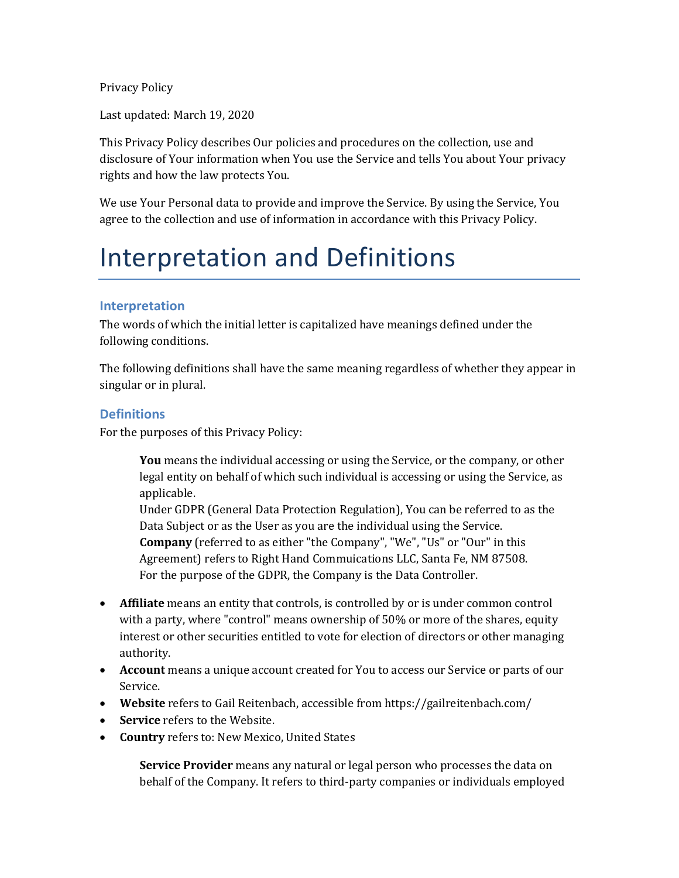Privacy Policy

Last updated: March 19, 2020

This Privacy Policy describes Our policies and procedures on the collection, use and disclosure of Your information when You use the Service and tells You about Your privacy rights and how the law protects You.

We use Your Personal data to provide and improve the Service. By using the Service, You agree to the collection and use of information in accordance with this Privacy Policy.

## Interpretation and Definitions

### **Interpretation**

The words of which the initial letter is capitalized have meanings defined under the following conditions.

The following definitions shall have the same meaning regardless of whether they appear in singular or in plural.

### **Definitions**

For the purposes of this Privacy Policy:

**You** means the individual accessing or using the Service, or the company, or other legal entity on behalf of which such individual is accessing or using the Service, as applicable.

Under GDPR (General Data Protection Regulation), You can be referred to as the Data Subject or as the User as you are the individual using the Service. **Company** (referred to as either "the Company", "We", "Us" or "Our" in this Agreement) refers to Right Hand Commuications LLC, Santa Fe, NM 87508. For the purpose of the GDPR, the Company is the Data Controller.

- Affiliate means an entity that controls, is controlled by or is under common control with a party, where "control" means ownership of  $50\%$  or more of the shares, equity interest or other securities entitled to vote for election of directors or other managing authority.
- Account means a unique account created for You to access our Service or parts of our Service.
- **Website** refers to Gail Reitenbach, accessible from https://gailreitenbach.com/
- **Service** refers to the Website.
- Country refers to: New Mexico, United States

**Service Provider** means any natural or legal person who processes the data on behalf of the Company. It refers to third-party companies or individuals employed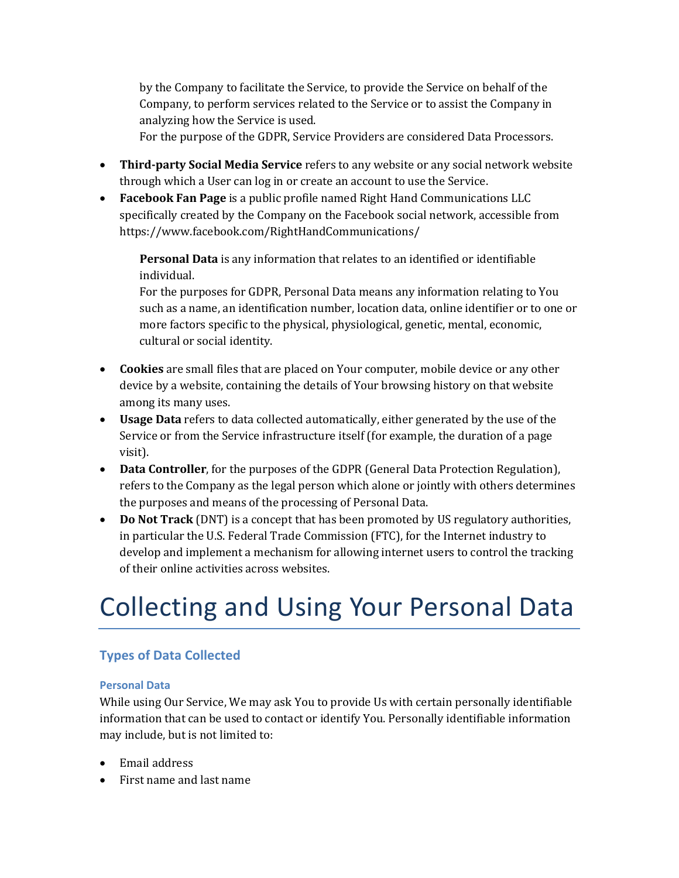by the Company to facilitate the Service, to provide the Service on behalf of the Company, to perform services related to the Service or to assist the Company in analyzing how the Service is used.

For the purpose of the GDPR, Service Providers are considered Data Processors.

- Third-party Social Media Service refers to any website or any social network website through which a User can log in or create an account to use the Service.
- **Facebook Fan Page** is a public profile named Right Hand Communications LLC specifically created by the Company on the Facebook social network, accessible from https://www.facebook.com/RightHandCommunications/

**Personal Data** is any information that relates to an identified or identifiable individual.

For the purposes for GDPR, Personal Data means any information relating to You such as a name, an identification number, location data, online identifier or to one or more factors specific to the physical, physiological, genetic, mental, economic, cultural or social identity.

- **Cookies** are small files that are placed on Your computer, mobile device or any other device by a website, containing the details of Your browsing history on that website among its many uses.
- **Usage Data** refers to data collected automatically, either generated by the use of the Service or from the Service infrastructure itself (for example, the duration of a page visit).
- Data Controller, for the purposes of the GDPR (General Data Protection Regulation), refers to the Company as the legal person which alone or jointly with others determines the purposes and means of the processing of Personal Data.
- **Do Not Track** (DNT) is a concept that has been promoted by US regulatory authorities, in particular the U.S. Federal Trade Commission (FTC), for the Internet industry to develop and implement a mechanism for allowing internet users to control the tracking of their online activities across websites.

## Collecting and Using Your Personal Data

## **Types of Data Collected**

#### **Personal Data**

While using Our Service, We may ask You to provide Us with certain personally identifiable information that can be used to contact or identify You. Personally identifiable information may include, but is not limited to:

- Email address
- First name and last name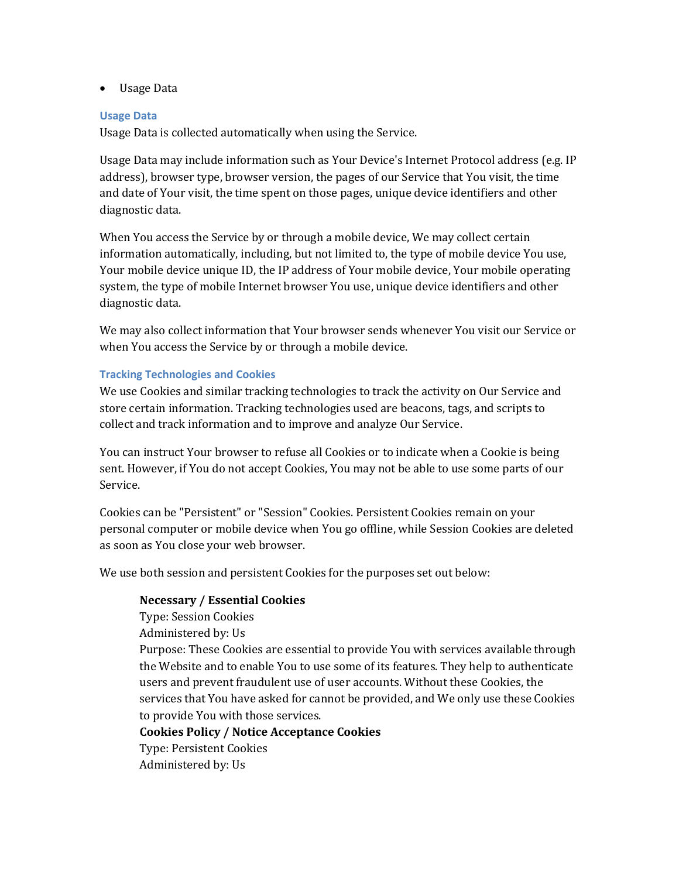#### • Usage Data

#### **Usage Data**

Usage Data is collected automatically when using the Service.

Usage Data may include information such as Your Device's Internet Protocol address (e.g. IP address), browser type, browser version, the pages of our Service that You visit, the time and date of Your visit, the time spent on those pages, unique device identifiers and other diagnostic data.

When You access the Service by or through a mobile device, We may collect certain information automatically, including, but not limited to, the type of mobile device You use, Your mobile device unique ID, the IP address of Your mobile device, Your mobile operating system, the type of mobile Internet browser You use, unique device identifiers and other diagnostic data.

We may also collect information that Your browser sends whenever You visit our Service or when You access the Service by or through a mobile device.

#### **Tracking Technologies and Cookies**

We use Cookies and similar tracking technologies to track the activity on Our Service and store certain information. Tracking technologies used are beacons, tags, and scripts to collect and track information and to improve and analyze Our Service.

You can instruct Your browser to refuse all Cookies or to indicate when a Cookie is being sent. However, if You do not accept Cookies, You may not be able to use some parts of our Service.

Cookies can be "Persistent" or "Session" Cookies. Persistent Cookies remain on your personal computer or mobile device when You go offline, while Session Cookies are deleted as soon as You close your web browser.

We use both session and persistent Cookies for the purposes set out below:

#### **Necessary / Essential Cookies**

Type: Session Cookies

Administered by: Us

Purpose: These Cookies are essential to provide You with services available through the Website and to enable You to use some of its features. They help to authenticate users and prevent fraudulent use of user accounts. Without these Cookies, the services that You have asked for cannot be provided, and We only use these Cookies to provide You with those services.

**Cookies Policy / Notice Acceptance Cookies**

Type: Persistent Cookies Administered by: Us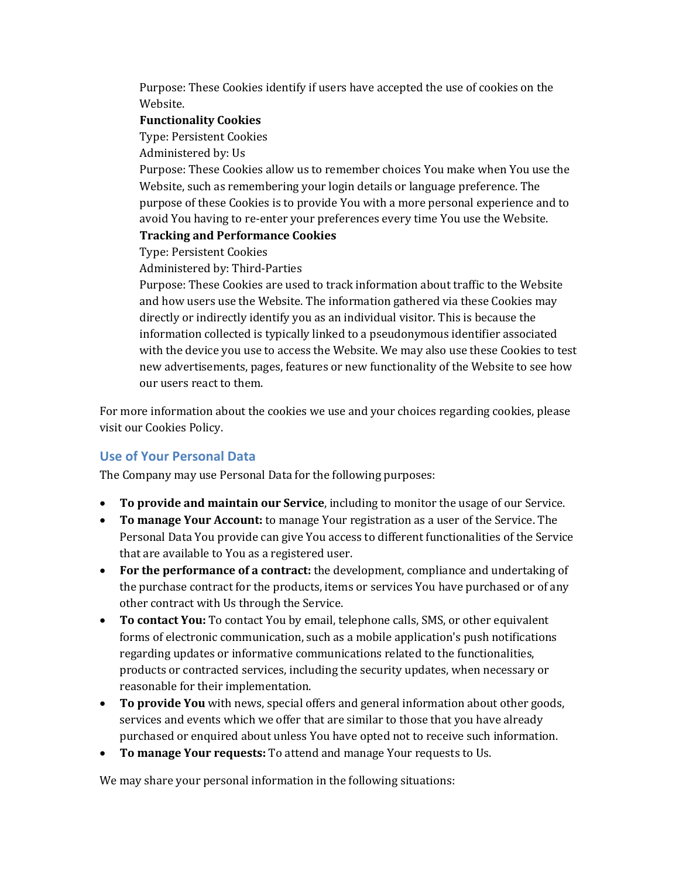Purpose: These Cookies identify if users have accepted the use of cookies on the Website.

#### **Functionality Cookies**

Type: Persistent Cookies

Administered by: Us

Purpose: These Cookies allow us to remember choices You make when You use the Website, such as remembering your login details or language preference. The purpose of these Cookies is to provide You with a more personal experience and to avoid You having to re-enter your preferences every time You use the Website. **Tracking and Performance Cookies** 

## Type: Persistent Cookies

Administered by: Third-Parties

Purpose: These Cookies are used to track information about traffic to the Website and how users use the Website. The information gathered via these Cookies may directly or indirectly identify you as an individual visitor. This is because the information collected is typically linked to a pseudonymous identifier associated with the device you use to access the Website. We may also use these Cookies to test new advertisements, pages, features or new functionality of the Website to see how our users react to them.

For more information about the cookies we use and your choices regarding cookies, please visit our Cookies Policy.

### **Use of Your Personal Data**

The Company may use Personal Data for the following purposes:

- To provide and maintain our Service, including to monitor the usage of our Service.
- To manage Your Account: to manage Your registration as a user of the Service. The Personal Data You provide can give You access to different functionalities of the Service that are available to You as a registered user.
- For the performance of a contract: the development, compliance and undertaking of the purchase contract for the products, items or services You have purchased or of any other contract with Us through the Service.
- To contact You: To contact You by email, telephone calls, SMS, or other equivalent forms of electronic communication, such as a mobile application's push notifications regarding updates or informative communications related to the functionalities, products or contracted services, including the security updates, when necessary or reasonable for their implementation.
- **To provide You** with news, special offers and general information about other goods, services and events which we offer that are similar to those that you have already purchased or enquired about unless You have opted not to receive such information.
- To manage Your requests: To attend and manage Your requests to Us.

We may share your personal information in the following situations: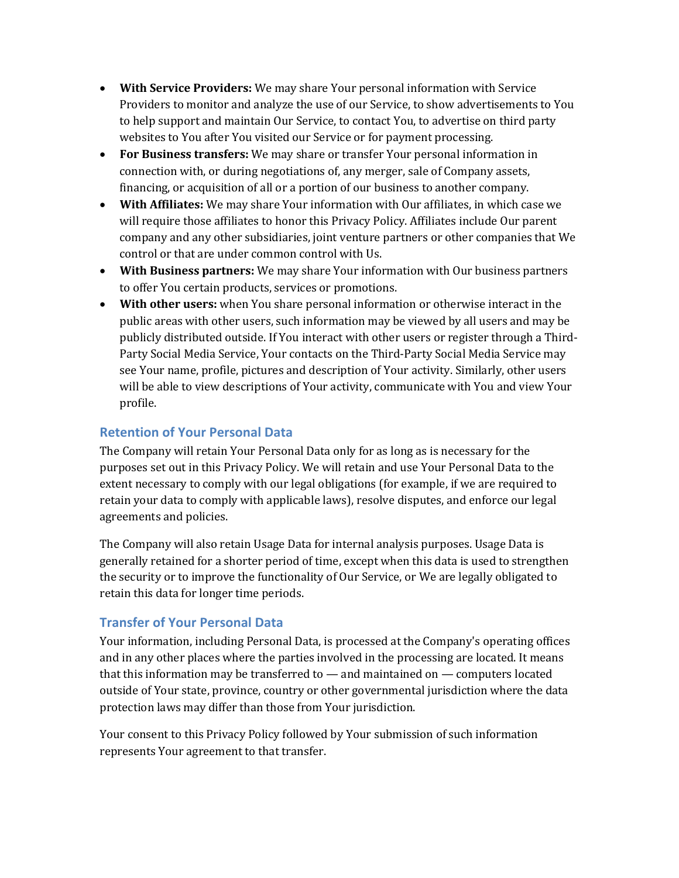- **With Service Providers:** We may share Your personal information with Service Providers to monitor and analyze the use of our Service, to show advertisements to You to help support and maintain Our Service, to contact You, to advertise on third party websites to You after You visited our Service or for payment processing.
- For Business transfers: We may share or transfer Your personal information in connection with, or during negotiations of, any merger, sale of Company assets, financing, or acquisition of all or a portion of our business to another company.
- **With Affiliates:** We may share Your information with Our affiliates, in which case we will require those affiliates to honor this Privacy Policy. Affiliates include Our parent company and any other subsidiaries, joint venture partners or other companies that We control or that are under common control with Us.
- With Business partners: We may share Your information with Our business partners to offer You certain products, services or promotions.
- With other users: when You share personal information or otherwise interact in the public areas with other users, such information may be viewed by all users and may be publicly distributed outside. If You interact with other users or register through a Third-Party Social Media Service, Your contacts on the Third-Party Social Media Service may see Your name, profile, pictures and description of Your activity. Similarly, other users will be able to view descriptions of Your activity, communicate with You and view Your profile.

### **Retention of Your Personal Data**

The Company will retain Your Personal Data only for as long as is necessary for the purposes set out in this Privacy Policy. We will retain and use Your Personal Data to the extent necessary to comply with our legal obligations (for example, if we are required to retain your data to comply with applicable laws), resolve disputes, and enforce our legal agreements and policies.

The Company will also retain Usage Data for internal analysis purposes. Usage Data is generally retained for a shorter period of time, except when this data is used to strengthen the security or to improve the functionality of Our Service, or We are legally obligated to retain this data for longer time periods.

### **Transfer of Your Personal Data**

Your information, including Personal Data, is processed at the Company's operating offices and in any other places where the parties involved in the processing are located. It means that this information may be transferred to  $-$  and maintained on  $-$  computers located outside of Your state, province, country or other governmental jurisdiction where the data protection laws may differ than those from Your jurisdiction.

Your consent to this Privacy Policy followed by Your submission of such information represents Your agreement to that transfer.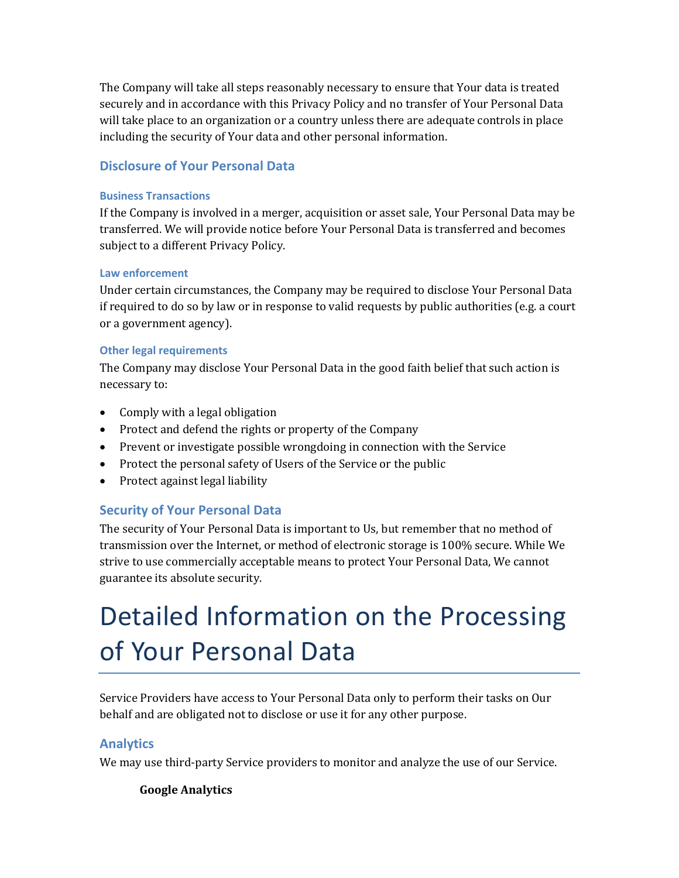The Company will take all steps reasonably necessary to ensure that Your data is treated securely and in accordance with this Privacy Policy and no transfer of Your Personal Data will take place to an organization or a country unless there are adequate controls in place including the security of Your data and other personal information.

### **Disclosure of Your Personal Data**

#### **Business Transactions**

If the Company is involved in a merger, acquisition or asset sale, Your Personal Data may be transferred. We will provide notice before Your Personal Data is transferred and becomes subject to a different Privacy Policy.

#### **Law enforcement**

Under certain circumstances, the Company may be required to disclose Your Personal Data if required to do so by law or in response to valid requests by public authorities (e.g. a court or a government agency).

#### **Other legal requirements**

The Company may disclose Your Personal Data in the good faith belief that such action is necessary to:

- Comply with a legal obligation
- Protect and defend the rights or property of the Company
- Prevent or investigate possible wrongdoing in connection with the Service
- Protect the personal safety of Users of the Service or the public
- Protect against legal liability

### **Security of Your Personal Data**

The security of Your Personal Data is important to Us, but remember that no method of transmission over the Internet, or method of electronic storage is 100% secure. While We strive to use commercially acceptable means to protect Your Personal Data, We cannot guarantee its absolute security.

# Detailed Information on the Processing of Your Personal Data

Service Providers have access to Your Personal Data only to perform their tasks on Our behalf and are obligated not to disclose or use it for any other purpose.

### **Analytics**

We may use third-party Service providers to monitor and analyze the use of our Service.

### **Google Analytics**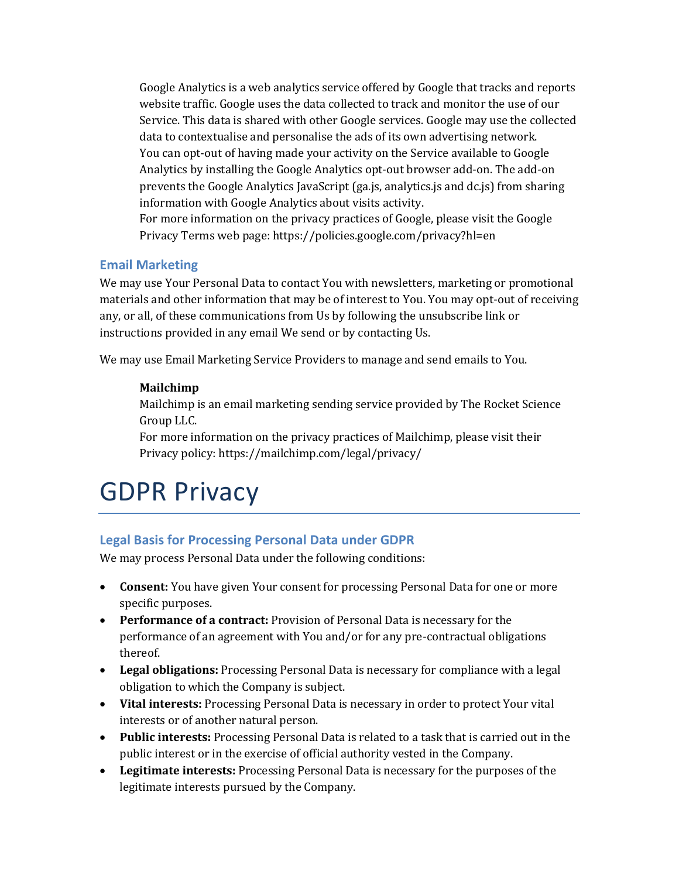Google Analytics is a web analytics service offered by Google that tracks and reports website traffic. Google uses the data collected to track and monitor the use of our Service. This data is shared with other Google services. Google may use the collected data to contextualise and personalise the ads of its own advertising network. You can opt-out of having made your activity on the Service available to Google Analytics by installing the Google Analytics opt-out browser add-on. The add-on prevents the Google Analytics JavaScript  $(ga.js, analytics.js$  and dc.js) from sharing information with Google Analytics about visits activity. For more information on the privacy practices of Google, please visit the Google

## **Email Marketing**

We may use Your Personal Data to contact You with newsletters, marketing or promotional materials and other information that may be of interest to You. You may opt-out of receiving any, or all, of these communications from Us by following the unsubscribe link or instructions provided in any email We send or by contacting Us.

We may use Email Marketing Service Providers to manage and send emails to You.

Privacy Terms web page: https://policies.google.com/privacy?hl=en

#### **Mailchimp**

Mailchimp is an email marketing sending service provided by The Rocket Science Group LLC.

For more information on the privacy practices of Mailchimp, please visit their Privacy policy: https://mailchimp.com/legal/privacy/

## GDPR Privacy

### **Legal Basis for Processing Personal Data under GDPR**

We may process Personal Data under the following conditions:

- **Consent:** You have given Your consent for processing Personal Data for one or more specific purposes.
- Performance of a contract: Provision of Personal Data is necessary for the performance of an agreement with You and/or for any pre-contractual obligations thereof.
- Legal obligations: Processing Personal Data is necessary for compliance with a legal obligation to which the Company is subject.
- Vital interests: Processing Personal Data is necessary in order to protect Your vital interests or of another natural person.
- Public interests: Processing Personal Data is related to a task that is carried out in the public interest or in the exercise of official authority vested in the Company.
- Legitimate interests: Processing Personal Data is necessary for the purposes of the legitimate interests pursued by the Company.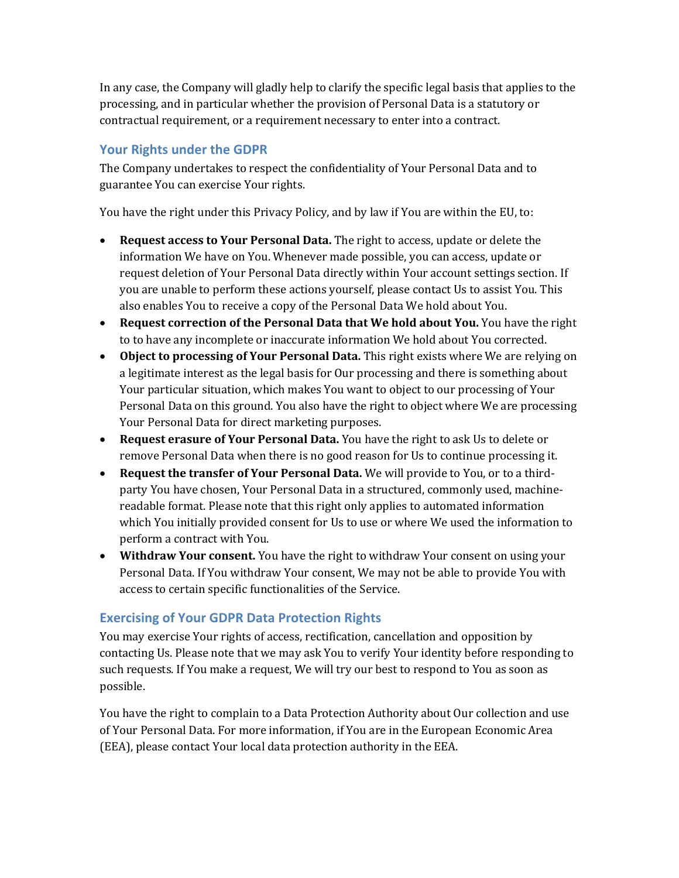In any case, the Company will gladly help to clarify the specific legal basis that applies to the processing, and in particular whether the provision of Personal Data is a statutory or contractual requirement, or a requirement necessary to enter into a contract.

### **Your Rights under the GDPR**

The Company undertakes to respect the confidentiality of Your Personal Data and to guarantee You can exercise Your rights.

You have the right under this Privacy Policy, and by law if You are within the EU, to:

- **Request access to Your Personal Data.** The right to access, update or delete the information We have on You. Whenever made possible, you can access, update or request deletion of Your Personal Data directly within Your account settings section. If you are unable to perform these actions yourself, please contact Us to assist You. This also enables You to receive a copy of the Personal Data We hold about You.
- Request correction of the Personal Data that We hold about You. You have the right to to have any incomplete or inaccurate information We hold about You corrected.
- Object to processing of Your Personal Data. This right exists where We are relying on a legitimate interest as the legal basis for Our processing and there is something about Your particular situation, which makes You want to object to our processing of Your Personal Data on this ground. You also have the right to object where We are processing Your Personal Data for direct marketing purposes.
- **Request erasure of Your Personal Data.** You have the right to ask Us to delete or remove Personal Data when there is no good reason for Us to continue processing it.
- **Request the transfer of Your Personal Data.** We will provide to You, or to a thirdparty You have chosen, Your Personal Data in a structured, commonly used, machinereadable format. Please note that this right only applies to automated information which You initially provided consent for Us to use or where We used the information to perform a contract with You.
- **Withdraw Your consent.** You have the right to withdraw Your consent on using your Personal Data. If You withdraw Your consent, We may not be able to provide You with access to certain specific functionalities of the Service.

### **Exercising of Your GDPR Data Protection Rights**

You may exercise Your rights of access, rectification, cancellation and opposition by contacting Us. Please note that we may ask You to verify Your identity before responding to such requests. If You make a request, We will try our best to respond to You as soon as possible.

You have the right to complain to a Data Protection Authority about Our collection and use of Your Personal Data. For more information, if You are in the European Economic Area (EEA), please contact Your local data protection authority in the EEA.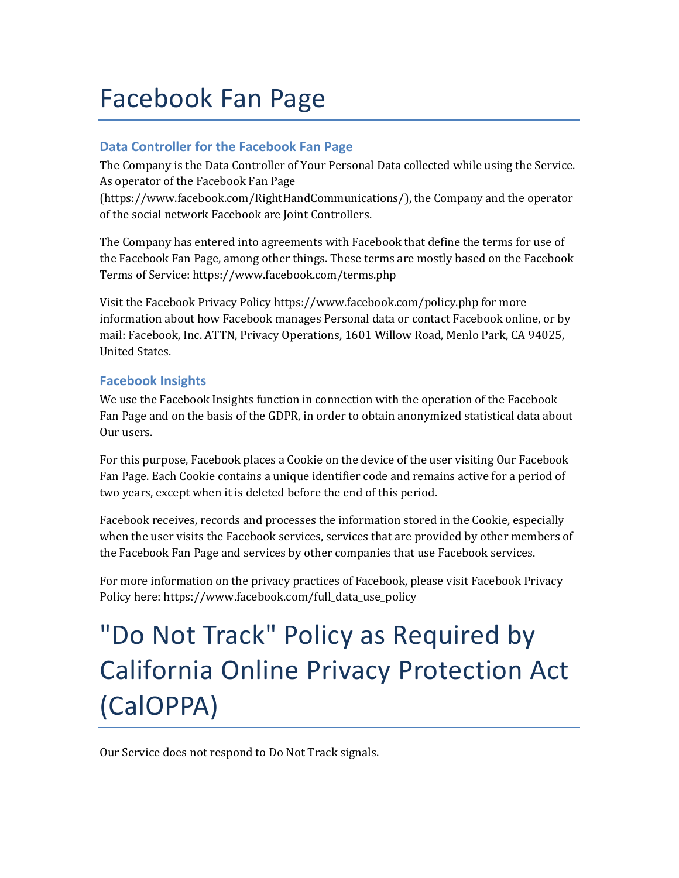## Facebook Fan Page

### **Data Controller for the Facebook Fan Page**

The Company is the Data Controller of Your Personal Data collected while using the Service. As operator of the Facebook Fan Page

(https://www.facebook.com/RightHandCommunications/), the Company and the operator of the social network Facebook are Joint Controllers.

The Company has entered into agreements with Facebook that define the terms for use of the Facebook Fan Page, among other things. These terms are mostly based on the Facebook Terms of Service: https://www.facebook.com/terms.php

Visit the Facebook Privacy Policy https://www.facebook.com/policy.php for more information about how Facebook manages Personal data or contact Facebook online, or by mail: Facebook, Inc. ATTN, Privacy Operations, 1601 Willow Road, Menlo Park, CA 94025, United States.

### **Facebook Insights**

We use the Facebook Insights function in connection with the operation of the Facebook Fan Page and on the basis of the GDPR, in order to obtain anonymized statistical data about Our users.

For this purpose, Facebook places a Cookie on the device of the user visiting Our Facebook Fan Page. Each Cookie contains a unique identifier code and remains active for a period of two years, except when it is deleted before the end of this period.

Facebook receives, records and processes the information stored in the Cookie, especially when the user visits the Facebook services, services that are provided by other members of the Facebook Fan Page and services by other companies that use Facebook services.

For more information on the privacy practices of Facebook, please visit Facebook Privacy Policy here: https://www.facebook.com/full\_data\_use\_policy

# "Do Not Track" Policy as Required by California Online Privacy Protection Act (CalOPPA)

Our Service does not respond to Do Not Track signals.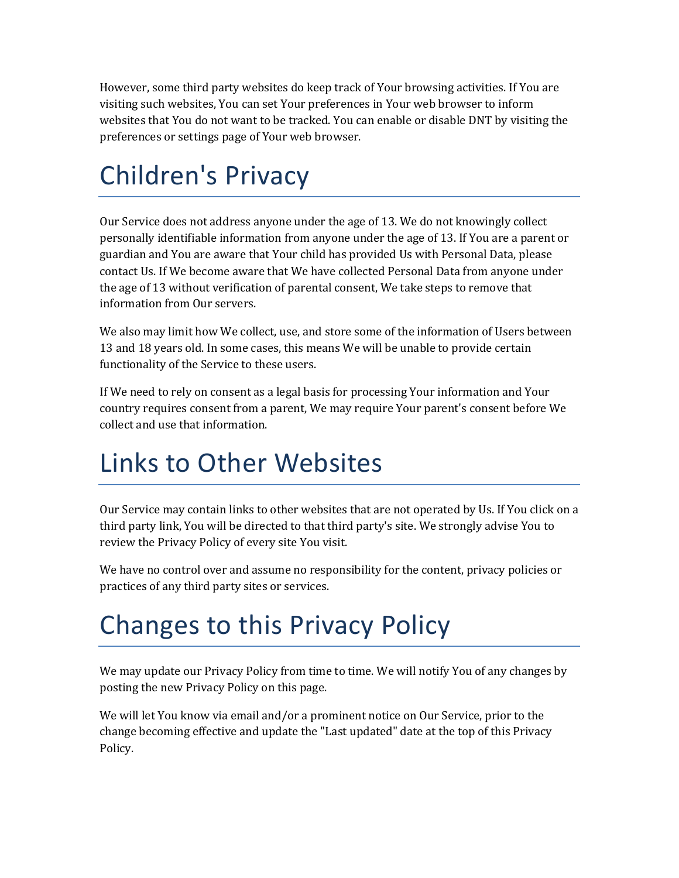However, some third party websites do keep track of Your browsing activities. If You are visiting such websites, You can set Your preferences in Your web browser to inform websites that You do not want to be tracked. You can enable or disable DNT by visiting the preferences or settings page of Your web browser.

# Children's Privacy

Our Service does not address anyone under the age of 13. We do not knowingly collect personally identifiable information from anyone under the age of 13. If You are a parent or guardian and You are aware that Your child has provided Us with Personal Data, please contact Us. If We become aware that We have collected Personal Data from anyone under the age of 13 without verification of parental consent, We take steps to remove that information from Our servers.

We also may limit how We collect, use, and store some of the information of Users between 13 and 18 years old. In some cases, this means We will be unable to provide certain functionality of the Service to these users.

If We need to rely on consent as a legal basis for processing Your information and Your country requires consent from a parent, We may require Your parent's consent before We collect and use that information.

## Links to Other Websites

Our Service may contain links to other websites that are not operated by Us. If You click on a third party link, You will be directed to that third party's site. We strongly advise You to review the Privacy Policy of every site You visit.

We have no control over and assume no responsibility for the content, privacy policies or practices of any third party sites or services.

## Changes to this Privacy Policy

We may update our Privacy Policy from time to time. We will notify You of any changes by posting the new Privacy Policy on this page.

We will let You know via email and/or a prominent notice on Our Service, prior to the change becoming effective and update the "Last updated" date at the top of this Privacy Policy.